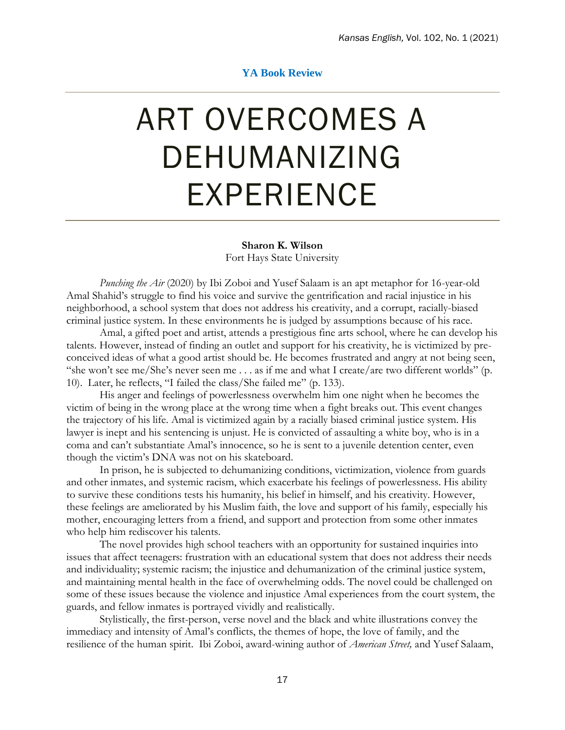## **YA Book Review**

## ART OVERCOMES A DEHUMANIZING EXPERIENCE

## **Sharon K. Wilson**

Fort Hays State University

*Punching the Air* (2020) by Ibi Zoboi and Yusef Salaam is an apt metaphor for 16-year-old Amal Shahid's struggle to find his voice and survive the gentrification and racial injustice in his neighborhood, a school system that does not address his creativity, and a corrupt, racially-biased criminal justice system. In these environments he is judged by assumptions because of his race.

Amal, a gifted poet and artist, attends a prestigious fine arts school, where he can develop his talents. However, instead of finding an outlet and support for his creativity, he is victimized by preconceived ideas of what a good artist should be. He becomes frustrated and angry at not being seen, "she won't see me/She's never seen me . . . as if me and what I create/are two different worlds" (p. 10). Later, he reflects, "I failed the class/She failed me" (p. 133).

His anger and feelings of powerlessness overwhelm him one night when he becomes the victim of being in the wrong place at the wrong time when a fight breaks out. This event changes the trajectory of his life. Amal is victimized again by a racially biased criminal justice system. His lawyer is inept and his sentencing is unjust. He is convicted of assaulting a white boy, who is in a coma and can't substantiate Amal's innocence, so he is sent to a juvenile detention center, even though the victim's DNA was not on his skateboard.

In prison, he is subjected to dehumanizing conditions, victimization, violence from guards and other inmates, and systemic racism, which exacerbate his feelings of powerlessness. His ability to survive these conditions tests his humanity, his belief in himself, and his creativity. However, these feelings are ameliorated by his Muslim faith, the love and support of his family, especially his mother, encouraging letters from a friend, and support and protection from some other inmates who help him rediscover his talents.

The novel provides high school teachers with an opportunity for sustained inquiries into issues that affect teenagers: frustration with an educational system that does not address their needs and individuality; systemic racism; the injustice and dehumanization of the criminal justice system, and maintaining mental health in the face of overwhelming odds. The novel could be challenged on some of these issues because the violence and injustice Amal experiences from the court system, the guards, and fellow inmates is portrayed vividly and realistically.

Stylistically, the first-person, verse novel and the black and white illustrations convey the immediacy and intensity of Amal's conflicts, the themes of hope, the love of family, and the resilience of the human spirit. Ibi Zoboi, award-wining author of *American Street,* and Yusef Salaam,